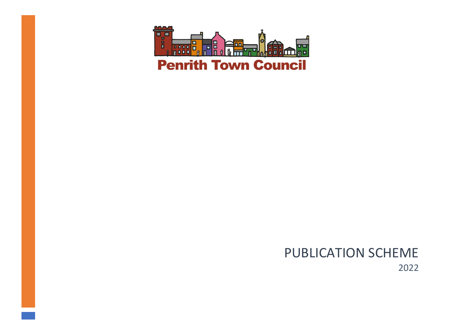

## PUBLICATION SCHEME 2022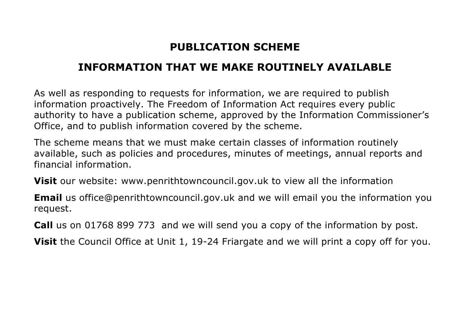## **PUBLICATION SCHEME**

## **INFORMATION THAT WE MAKE ROUTINELY AVAILABLE**

As well as responding to requests for information, we are required to publish information proactively. The Freedom of Information Act requires every public authority to have a publication scheme, approved by the Information Commissioner's Office, and to publish information covered by the scheme.

The scheme means that we must make certain classes of information routinely available, such as policies and procedures, minutes of meetings, annual reports and financial information.

**Visit** our website: [www.penrithtowncouncil.gov.uk](http://www.penrithtowncouncil.gov.uk/) to view all the information

**Email** us [office@penrithtowncouncil.gov.uk](mailto:office@penrithtowncouncil.gov.uk) and we will email you the information you request.

**Call** us on 01768 899 773 and we will send you a copy of the information by post.

**Visit** the Council Office at Unit 1, 19-24 Friargate and we will print a copy off for you.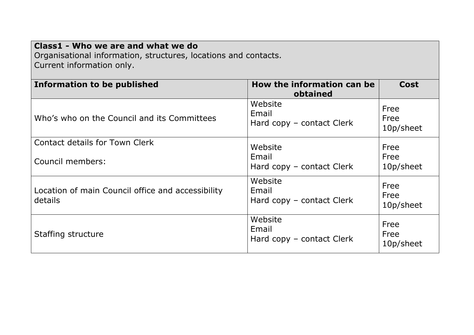| Class1 - Who we are and what we do<br>Organisational information, structures, locations and contacts.<br>Current information only. |                                               |                           |  |
|------------------------------------------------------------------------------------------------------------------------------------|-----------------------------------------------|---------------------------|--|
| Information to be published                                                                                                        | How the information can be<br>obtained        | <b>Cost</b>               |  |
| Who's who on the Council and its Committees                                                                                        | Website<br>Email<br>Hard copy – contact Clerk | Free<br>Free<br>10p/sheet |  |
| Contact details for Town Clerk                                                                                                     | Website                                       | Free                      |  |
| Council members:                                                                                                                   | Email<br>Hard copy – contact Clerk            | Free<br>10p/sheet         |  |
| Location of main Council office and accessibility<br>details                                                                       | Website<br>Email<br>Hard copy – contact Clerk | Free<br>Free<br>10p/sheet |  |
| Staffing structure                                                                                                                 | Website<br>Email<br>Hard copy – contact Clerk | Free<br>Free<br>10p/sheet |  |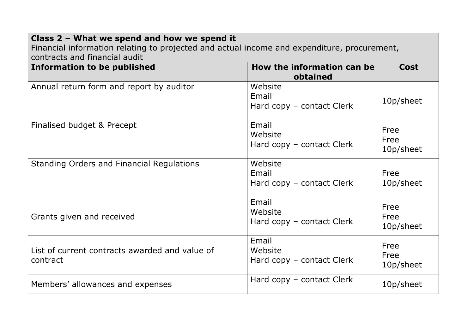| Class 2 - What we spend and how we spend it<br>Financial information relating to projected and actual income and expenditure, procurement,<br>contracts and financial audit |                                               |                           |
|-----------------------------------------------------------------------------------------------------------------------------------------------------------------------------|-----------------------------------------------|---------------------------|
| <b>Information to be published</b>                                                                                                                                          | How the information can be<br>obtained        | <b>Cost</b>               |
| Annual return form and report by auditor                                                                                                                                    | Website<br>Email<br>Hard copy - contact Clerk | 10p/sheet                 |
| Finalised budget & Precept                                                                                                                                                  | Email<br>Website<br>Hard copy – contact Clerk | Free<br>Free<br>10p/sheet |
| <b>Standing Orders and Financial Regulations</b>                                                                                                                            | Website<br>Email<br>Hard copy – contact Clerk | Free<br>10p/sheet         |
| Grants given and received                                                                                                                                                   | Email<br>Website<br>Hard copy - contact Clerk | Free<br>Free<br>10p/sheet |
| List of current contracts awarded and value of<br>contract                                                                                                                  | Email<br>Website<br>Hard copy - contact Clerk | Free<br>Free<br>10p/sheet |
| Members' allowances and expenses                                                                                                                                            | Hard copy – contact Clerk                     | 10p/sheet                 |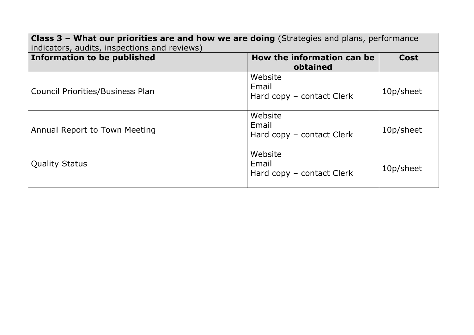| Class 3 - What our priorities are and how we are doing (Strategies and plans, performance<br>indicators, audits, inspections and reviews) |                                               |             |
|-------------------------------------------------------------------------------------------------------------------------------------------|-----------------------------------------------|-------------|
| <b>Information to be published</b>                                                                                                        | How the information can be<br>obtained        | <b>Cost</b> |
| <b>Council Priorities/Business Plan</b>                                                                                                   | Website<br>Email<br>Hard copy - contact Clerk | 10p/sheet   |
| Annual Report to Town Meeting                                                                                                             | Website<br>Email<br>Hard copy - contact Clerk | 10p/sheet   |
| <b>Quality Status</b>                                                                                                                     | Website<br>Email<br>Hard copy - contact Clerk | 10p/sheet   |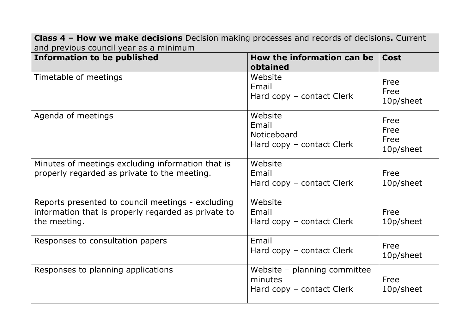| <b>Class 4 - How we make decisions</b> Decision making processes and records of decisions. Current<br>and previous council year as a minimum |                                                                      |                                   |
|----------------------------------------------------------------------------------------------------------------------------------------------|----------------------------------------------------------------------|-----------------------------------|
| <b>Information to be published</b>                                                                                                           | How the information can be<br>obtained                               | Cost                              |
| Timetable of meetings                                                                                                                        | Website<br>Email<br>Hard copy - contact Clerk                        | Free<br>Free<br>10p/sheet         |
| Agenda of meetings                                                                                                                           | Website<br>Email<br>Noticeboard<br>Hard copy - contact Clerk         | Free<br>Free<br>Free<br>10p/sheet |
| Minutes of meetings excluding information that is<br>properly regarded as private to the meeting.                                            | Website<br>Email<br>Hard copy - contact Clerk                        | Free<br>10p/sheet                 |
| Reports presented to council meetings - excluding<br>information that is properly regarded as private to<br>the meeting.                     | Website<br>Email<br>Hard copy - contact Clerk                        | Free<br>10p/sheet                 |
| Responses to consultation papers                                                                                                             | Email<br>Hard copy – contact Clerk                                   | Free<br>10p/sheet                 |
| Responses to planning applications                                                                                                           | Website - planning committee<br>minutes<br>Hard copy – contact Clerk | Free<br>10p/sheet                 |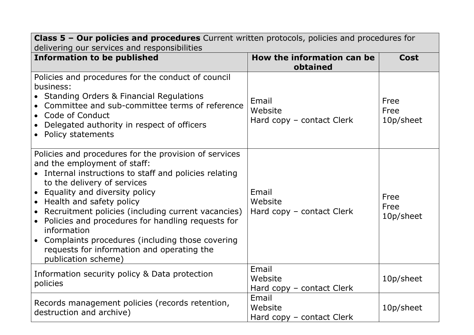| <b>Class 5 - Our policies and procedures</b> Current written protocols, policies and procedures for<br>delivering our services and responsibilities                                                                                                                                                                                                                                                                                                                                                     |                                               |                           |  |
|---------------------------------------------------------------------------------------------------------------------------------------------------------------------------------------------------------------------------------------------------------------------------------------------------------------------------------------------------------------------------------------------------------------------------------------------------------------------------------------------------------|-----------------------------------------------|---------------------------|--|
| <b>Information to be published</b>                                                                                                                                                                                                                                                                                                                                                                                                                                                                      | How the information can be<br>obtained        | <b>Cost</b>               |  |
| Policies and procedures for the conduct of council<br>business:<br>• Standing Orders & Financial Regulations<br>Committee and sub-committee terms of reference<br>• Code of Conduct<br>Delegated authority in respect of officers<br>• Policy statements                                                                                                                                                                                                                                                | Email<br>Website<br>Hard copy – contact Clerk | Free<br>Free<br>10p/sheet |  |
| Policies and procedures for the provision of services<br>and the employment of staff:<br>• Internal instructions to staff and policies relating<br>to the delivery of services<br>• Equality and diversity policy<br>• Health and safety policy<br>• Recruitment policies (including current vacancies)<br>• Policies and procedures for handling requests for<br>information<br>• Complaints procedures (including those covering<br>requests for information and operating the<br>publication scheme) | Email<br>Website<br>Hard copy – contact Clerk | Free<br>Free<br>10p/sheet |  |
| Information security policy & Data protection<br>policies                                                                                                                                                                                                                                                                                                                                                                                                                                               | Email<br>Website<br>Hard copy – contact Clerk | 10p/sheet                 |  |
| Records management policies (records retention,<br>destruction and archive)                                                                                                                                                                                                                                                                                                                                                                                                                             | Email<br>Website<br>Hard copy – contact Clerk | 10p/sheet                 |  |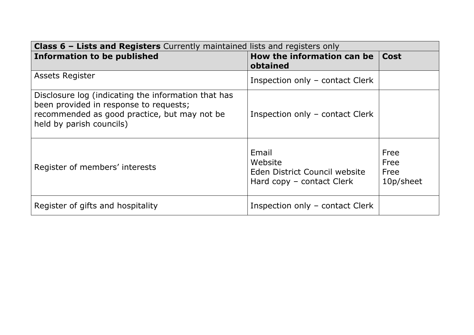| <b>Class 6 – Lists and Registers</b> Currently maintained lists and registers only                                                                                        |                                                                                |                                   |
|---------------------------------------------------------------------------------------------------------------------------------------------------------------------------|--------------------------------------------------------------------------------|-----------------------------------|
| <b>Information to be published</b>                                                                                                                                        | How the information can be<br>obtained                                         | <b>Cost</b>                       |
| <b>Assets Register</b>                                                                                                                                                    | Inspection only - contact Clerk                                                |                                   |
| Disclosure log (indicating the information that has<br>been provided in response to requests;<br>recommended as good practice, but may not be<br>held by parish councils) | Inspection only - contact Clerk                                                |                                   |
| Register of members' interests                                                                                                                                            | Email<br>Website<br>Eden District Council website<br>Hard copy – contact Clerk | Free<br>Free<br>Free<br>10p/sheet |
| Register of gifts and hospitality                                                                                                                                         | Inspection only – contact Clerk                                                |                                   |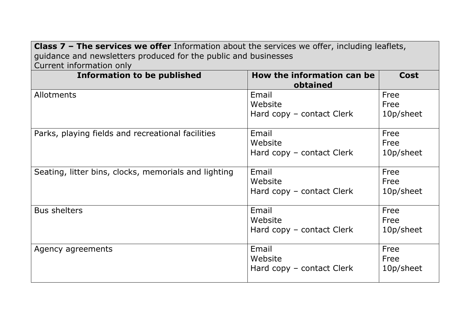**Class 7 – The services we offer** Information about the services we offer, including leaflets, guidance and newsletters produced for the public and businesses Current information only

| <b>Information to be published</b>                   | How the information can be<br>obtained        | <b>Cost</b>               |
|------------------------------------------------------|-----------------------------------------------|---------------------------|
| Allotments                                           | Email<br>Website<br>Hard copy – contact Clerk | Free<br>Free<br>10p/sheet |
| Parks, playing fields and recreational facilities    | Email<br>Website<br>Hard copy - contact Clerk | Free<br>Free<br>10p/sheet |
| Seating, litter bins, clocks, memorials and lighting | Email<br>Website<br>Hard copy - contact Clerk | Free<br>Free<br>10p/sheet |
| <b>Bus shelters</b>                                  | Email<br>Website<br>Hard copy – contact Clerk | Free<br>Free<br>10p/sheet |
| Agency agreements                                    | Email<br>Website<br>Hard copy – contact Clerk | Free<br>Free<br>10p/sheet |